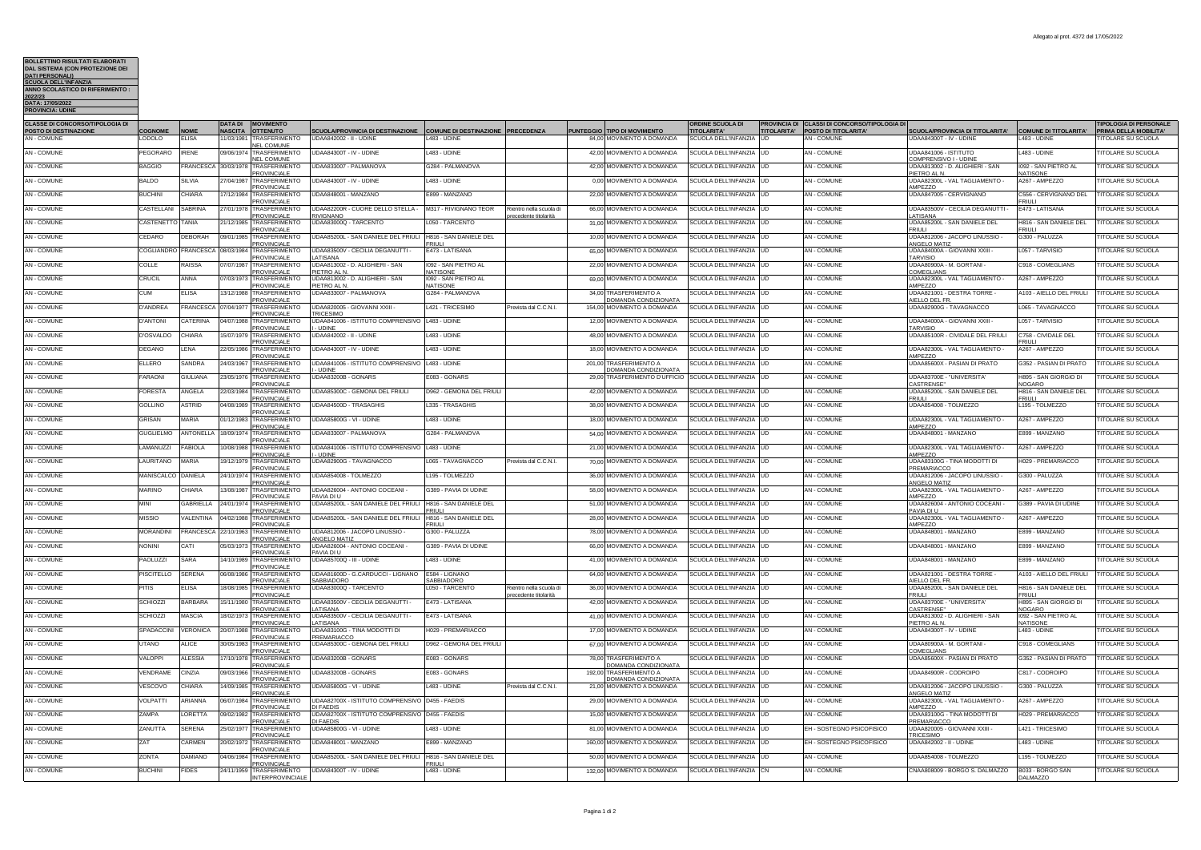| BOLLE I INO RISUL I A I I ELABORA I I<br><b>DAL SISTEMA (CON PROTEZIONE DEI</b>       |                                   |                             |                |                                                                               |                                                                                |                                                           |                                                 |                                                          |                                                         |                                                                                                                            |                                                                   |                                         |                                                                                   |
|---------------------------------------------------------------------------------------|-----------------------------------|-----------------------------|----------------|-------------------------------------------------------------------------------|--------------------------------------------------------------------------------|-----------------------------------------------------------|-------------------------------------------------|----------------------------------------------------------|---------------------------------------------------------|----------------------------------------------------------------------------------------------------------------------------|-------------------------------------------------------------------|-----------------------------------------|-----------------------------------------------------------------------------------|
| DATI PERSONALI)<br>SCUOLA DELL'INFANZIA<br>ANNO SCOLASTICO DI RIFERIMENTO :           |                                   |                             |                |                                                                               |                                                                                |                                                           |                                                 |                                                          |                                                         |                                                                                                                            |                                                                   |                                         |                                                                                   |
| 2022/23<br>DATA: 17/05/2022                                                           |                                   |                             |                |                                                                               |                                                                                |                                                           |                                                 |                                                          |                                                         |                                                                                                                            |                                                                   |                                         |                                                                                   |
| <b>PROVINCIA: UDIN</b>                                                                |                                   |                             |                |                                                                               |                                                                                |                                                           |                                                 |                                                          |                                                         |                                                                                                                            |                                                                   |                                         |                                                                                   |
| <b>CLASSE DI CONCORSO/TIPOLOGIA DI</b><br>POSTO DI DESTINAZIONE<br><b>AN - COMUNE</b> | COGNOME<br>LODOLO                 | <b>NOME</b><br><b>ELISA</b> | <b>DATA DI</b> | <b>NIMENTO</b><br>NASCITA OTTENUTO<br>11/03/1981 TRASFERIMENTO<br>NEL COMUNE  | <b>SCUOLA/PROVINCIA DI DESTINAZIONE</b><br>UDAA842002 - II - UDINE             | COMUNE DI DESTINAZIONE PRECEDENZA<br>L483 - UDINE         |                                                 | PUNTEGGIO TIPO DI MOVIMENTO<br>84,00 MOVIMENTO A DOMANDA | ORDINE SCUOLA DI<br>TITOLARITA'<br>SCUOLA DELL'INFANZIA | <b>CLASSI DI CONCORSO/TIPOLOGIA DI</b><br><b>PROVINCIA DI</b><br>POSTO DI TITOLARITA'<br><b>TITOLARITA'</b><br>AN - COMUNE | <b>SCUOLA/PROVINCIA DI TITOLARITA'</b><br>UDAA84300T - IV - UDINE | COMUNE DI TITOLARITA'<br>L483 - UDINE   | <b>IPOLOGIA DI PERSONALE</b><br>PRIMA DELLA MOBILITA'<br><b>ITOLARE SU SCUOLA</b> |
| AN - COMUNE                                                                           | <b>PEGORARO</b>                   | <b>IRENE</b>                |                | 09/06/1974 TRASFERIMENTO<br><b>NEL COMUNE</b>                                 | UDAA84300T - IV - UDINE                                                        | L483 - UDINE                                              |                                                 | 42.00 MOVIMENTO A DOMANDA                                | SCUOLA DELL'INFANZIA                                    | <b>AN - COMUNE</b><br><b>IUD</b>                                                                                           | UDAA841006 - ISTITUTO<br>COMPRENSIVO I - UDINE                    | L483 - UDINE                            | <b>ITOLARE SU SCUOLA</b>                                                          |
| AN - COMUNE                                                                           | <b>BAGGIO</b>                     | <b>FRANCESC</b>             |                | 30/03/1978 TRASFERIMENTO<br><b>PROVINCIALE</b>                                | UDAA833007 - PALMANOVA                                                         | G284 - PALMANOVA                                          |                                                 | 42,00 MOVIMENTO A DOMANDA                                | SCUOLA DELL'INFANZIA                                    | <b>AN - COMUNE</b>                                                                                                         | UDAA813002 - D. ALIGHIERI - SAN<br>PIETRO AL N.                   | 1092 - SAN PIETRO AL<br>NATISONE        | <b>ITOLARE SU SCUOLA</b>                                                          |
| <b>AN - COMUNE</b>                                                                    | <b>BALDO</b>                      | <b>SILVIA</b>               |                | 27/04/1987 TRASFERIMENTO<br><b>PROVINCIALE</b>                                | JDAA84300T - IV - UDINE                                                        | L483 - UDINE                                              |                                                 | 0,00 MOVIMENTO A DOMANDA                                 | SCUOLA DELL'INFANZIA                                    | AN - COMUNE                                                                                                                | UDAA82300L - VAL TAGLIAMENTO -<br>MPEZZO                          | A267 - AMPEZZO                          | <b>ITOLARE SU SCUOLA</b>                                                          |
| AN - COMUNE                                                                           | <b>BUCHIN</b>                     | CHIARA                      |                | 17/12/1984 TRASFERIMENTO<br>PROVINCIALI                                       | UDAA848001 - MANZANO                                                           | E899 - MANZANO                                            |                                                 | 22,00 MOVIMENTO A DOMANDA                                | SCUOLA DELL'INFANZIA                                    | AN - COMUNE                                                                                                                | UDAA847005 - CERVIGNANO                                           | C556 - CERVIGNANO DEL<br>FRIUL          | TITOLARE SU SCUOLA                                                                |
| AN - COMUNE                                                                           | CASTELLANI                        | <b>SABRINA</b>              |                | 27/01/1978 TRASFERIMENTO<br>PROVINCIAL F                                      | UDAA82200R - CUORE DELLO STELLA -<br>RIVIGNANO                                 | M317 - RIVIGNANO TEOR                                     | Rientro nella scuola d<br>precedente titolarità | 66,00 MOVIMENTO A DOMANDA                                | SCUOLA DELL'INFANZIA UD                                 | AN - COMUNE                                                                                                                | UDAA83500V - CECILIA DEGANUTTI -<br><b>ATISANA</b>                | F473 - LATISANA                         | <b>ITOLARE SU SCUOLA</b>                                                          |
| AN - COMUNE                                                                           | CASTENETTO                        | <b>TANIA</b>                |                | 21/12/1985 TRASFERIMENTC<br><b>PROVINCIALE</b>                                | UDAA83000Q - TARCENTO                                                          | 050 - TARCENTC                                            |                                                 | 31,00 MOVIMENTO A DOMANDA                                | SCUOLA DELL'INFANZIA                                    | AN - COMUNE                                                                                                                | UDAA85200L - SAN DANIFLE DEL<br>FRIULI                            | H816 - SAN DANIELE DEL<br><b>FRIUL</b>  | <b>TITOLARE SU SCUOLA</b>                                                         |
| AN - COMUNE                                                                           | CEDARO                            | <b>DEBORAH</b>              |                | 09/01/1985 TRASFERIMENTO<br><b>PROVINCIALE</b>                                | UDAA85200L - SAN DANIELE DEL FRIULI   H816 - SAN DANIELE DEL                   | <b>FRIULI</b>                                             |                                                 | 10.00 MOVIMENTO A DOMANDA                                | SCUOLA DELL'INFANZIA UD                                 | AN - COMUNE                                                                                                                | UDAA812006 - JACOPO LINUSSIO -<br>ANGELO MATIZ                    | G300 - PALUZZA                          | <b>ITOLARE SU SCUOLA</b>                                                          |
| <b>AN - COMUNE</b>                                                                    | COGLIANDRO                        | <b>FRANCESCA</b>            |                | 08/03/1984 TRASFERIMENTO<br>PROVINCIALE                                       | UDAA83500V - CECILIA DEGANUTTI -<br>LATISANA                                   | E473 - LATISANA                                           |                                                 | 65,00 MOVIMENTO A DOMANDA                                | SCUOLA DELL'INFANZIA                                    | AN - COMUNE                                                                                                                | UDAA84000A - GIOVANNI XXIII<br><b>ARVISIO</b>                     | L057 - TARVISIO                         | <b>ITOLARE SU SCUOLA</b>                                                          |
| AN - COMUNE                                                                           | COLLE                             | <b>AISSA</b>                | 07/07/198      | TRASFERIMENTC<br><b>PROVINCIALE</b>                                           | UDAA813002 - D. ALIGHIERI - SAN<br>PIETRO AL N.                                | 092 - SAN PIETRO AL<br>NATISONE                           |                                                 | 22.00 MOVIMENTO A DOMANDA                                | SCUOLA DELL'INFANZIA                                    | AN - COMUNE                                                                                                                | UDAA80900A - M. GORTANI<br>COMEGLIANS                             | C918 - COMEGLIANS                       | <b>ITOLARE SU SCUOLA</b>                                                          |
| AN - COMUNE                                                                           | CRUCIL                            | ANNA                        |                | 07/03/1973 TRASFERIMENTO<br>PROVINCIALE                                       | UDAA813002 - D. ALIGHIERI - SAN<br>PIETRO AL N                                 | 1092 - SAN PIETRO AL<br><b>NATISONE</b>                   |                                                 | 69,00 MOVIMENTO A DOMANDA                                | SCUOLA DELL'INFANZIA                                    | AN - COMUNE<br>$\overline{11}$                                                                                             | UDAA82300L - VAL TAGLIAMENTO -<br><b>MPEZZO</b>                   | A267 - AMPEZZO                          | <b>ITOLARE SU SCUOLA</b>                                                          |
| AN - COMUNE                                                                           | CUM                               | <b>ELISA</b>                |                | 13/12/1988 TRASFERIMENTO<br><b>PROVINCIALE</b>                                | UDAA833007 - PALMANOVA                                                         | G284 - PALMANOVA                                          |                                                 | 34.00 TRASFERIMENTO A<br>DOMANDA CONDIZIONATA            | SCUOLA DELL'INFANZIA                                    | AN - COMUNE<br>LID                                                                                                         | UDAA821001 - DESTRA TORRE -<br>AIELLO DEL FR.                     | A103 - AIELLO DEL FRIULI                | <b>TITOLARE SU SCUOLA</b>                                                         |
| <b>AN - COMUNE</b>                                                                    | D'ANDREA                          | <b>FRANCESC</b>             |                | 07/04/1977 TRASFERIMENTO<br><b>PROVINCIALE</b>                                | <b>UDAA820005 - GIOVANNI XXIII -</b><br><b>TRICESIMO</b>                       | 421 - TRICESIMO                                           | Prevista dal C.C.N.I                            | 154.00 MOVIMENTO A DOMANDA                               | SCUOLA DELL'INFANZIA                                    | AN - COMUNE<br><b>LUD</b>                                                                                                  | UDAA82900G - TAVAGNACCO                                           | L065 - TAVAGNACCO                       | <b>TITOLARE SU SCUOLA</b>                                                         |
| AN - COMUNE                                                                           | <b>D'ANTONI</b>                   | CATERINA                    |                | 04/07/1988 TRASFERIMENTO<br><b>PROVINCIALE</b>                                | UDAA841006 - ISTITUTO COMPRENSIVO<br>- UDINE                                   | L483 - UDINE                                              |                                                 | 12.00 MOVIMENTO A DOMANDA                                | SCUOLA DELL'INFANZIA                                    | <b>AN - COMUNE</b>                                                                                                         | <b>JDAA84000A - GIOVANNI XXIII -</b><br><b>ARVISIO</b>            | L057 - TARVISIO                         | <b>ITOLARE SU SCUOLA</b>                                                          |
| AN - COMUNE                                                                           | D'OSVALDO                         | <b>HIARA</b>                |                | 5/07/1979 TRASFERIMENTO<br>PROVINCIALE                                        | UDAA842002 - II - UDINE                                                        | L483 - UDINE                                              |                                                 | 48.00 MOVIMENTO A DOMANDA                                | SCUOLA DELL'INFANZIA                                    | AN - COMUNE                                                                                                                | UDAA85100R - CIVIDALE DEL FRIULI                                  | C758 - CIVIDALE DEL<br><b>FRIULI</b>    | <b>TITOLARE SU SCUOLA</b>                                                         |
| AN - COMUNE                                                                           | DEGANO                            | ENA                         | 22/05/1986     | TRASFERIMENTO<br>PROVINCIALE                                                  | UDAA84300T - IV - UDINE                                                        | 483 - UDINE                                               |                                                 | 18.00 MOVIMENTO A DOMANDA                                | SCUOLA DELL'INFANZIA                                    | AN - COMUNE                                                                                                                | UDAA82300L - VAL TAGLIAMENTO -<br>AMPEZZO                         | A267 - AMPEZZO                          | <b>ITOLARE SU SCUOLA</b>                                                          |
| AN - COMUNE                                                                           | ELLERO                            | SANDRA                      |                | 24/03/1967 TRASFERIMENTO<br>PROVINCIALE                                       | UDAA841006 - ISTITUTO COMPRENSIVO L483 - UDINE<br>- LIDINE                     |                                                           |                                                 | 201,00 TRASFERIMENTO A<br>DOMANDA CONDIZIONATA           | SCUOLA DELL'INFANZIA                                    | AN - COMUNE<br><b>LID</b>                                                                                                  | UDAA85600X - PASIAN DI PRATO                                      | G352 - PASIAN DI PRATO                  | TITOLARE SU SCUOLA                                                                |
| AN - COMUNE                                                                           | <b>FARAONI</b>                    | <b>GIULIANA</b>             |                | 23/05/1976 TRASFERIMENTC<br>PROVINCIAI F                                      | UDAA83200B - GONARS                                                            | E083 - GONARS                                             |                                                 | 29.00 TRASFERIMENTO D'UFFICIO                            | SCUOLA DELL'INFANZIA                                    | AN - COMUNE                                                                                                                | UDAA83700E - "UNIVERSITA<br><b>ASTRENSE</b>                       | H895 - SAN GIORGIO D<br>NOGARO          | <b>ITOLARE SU SCUOLA</b>                                                          |
| AN - COMUNE                                                                           | <b>FORESTA</b>                    | ANGELA                      |                | 22/03/1984 TRASFERIMENTO<br><b>PROVINCIALE</b>                                | UDAA85300C - GEMONA DEL FRIULI                                                 | D962 - GEMONA DEL FRIULI                                  |                                                 | 42.00 MOVIMENTO A DOMANDA                                | SCUOLA DELL'INFANZIA UD                                 | AN - COMUNE                                                                                                                | UDAA85200L - SAN DANIELE DEL<br><b>FRIULI</b>                     | H816 - SAN DANIELE DEL<br><b>FRIULI</b> | <b>TITOLARE SU SCUOLA</b>                                                         |
| <b>AN - COMUNE</b>                                                                    | GOLLINO                           | <b>ASTRID</b>               |                | 04/08/1989 TRASFERIMENTO<br><b>PROVINCIALE</b>                                | UDAA84500D - TRASAGHIS                                                         | L335 - TRASAGHIS                                          |                                                 | 38.00 MOVIMENTO A DOMANDA                                | SCUOLA DELL'INFANZIA                                    | AN - COMUNE                                                                                                                | UDAA854008 - TOLMEZZO                                             | L195 - TOLMEZZO                         | <b>ITOLARE SU SCUOLA</b>                                                          |
| AN - COMUNE                                                                           | <b>GRISAN</b>                     | <b>MARIA</b>                | 01/12/1983     | TRASFERIMENTC<br><b>PROVINCIALE</b>                                           | UDAA85800G - VI - UDINE                                                        | 483 - UDIN                                                |                                                 | 18.00 MOVIMENTO A DOMANDA                                | SCUOLA DELL'INFANZIA                                    | AN - COMUNE                                                                                                                | UDAA82300L - VAL TAGLIAMENTO -<br>AMPEZZO                         | A267 - AMPEZZO                          | <b>ITOLARE SU SCUOLA</b>                                                          |
| AN - COMUNE                                                                           | <b>GUGLIELMO</b>                  | <b>INTONELL</b>             |                | 18/09/1974 TRASFERIMENTO<br><b>PROVINCIALE</b>                                | UDAA833007 - PALMANOVA                                                         | G284 - PALMANOVA                                          |                                                 | 54,00 MOVIMENTO A DOMANDA                                | SCUOLA DELL'INFANZIA                                    | AN - COMUNE<br>UD                                                                                                          | UDAA848001 - MANZANO                                              | E899 - MANZANO                          | <b>ITOLARE SU SCUOLA</b>                                                          |
| AN - COMUNE                                                                           | LAMANUZZI                         | ABIOLA                      |                | 10/08/1988 TRASFERIMENTO<br>PROVINCIALE                                       | UDAA841006 - ISTITUTO COMPRENSIVO<br>- UDINE                                   | L483 - UDINE                                              |                                                 | 21,00 MOVIMENTO A DOMANDA                                | SCUOLA DELL'INFANZIA                                    | AN - COMUNE<br><b>UD</b>                                                                                                   | UDAA82300L - VAL TAGLIAMENTO -<br><b>MPEZZO</b>                   | A267 - AMPEZZO                          | <b>TITOLARE SU SCUOLA</b>                                                         |
| <b>AN - COMUNE</b>                                                                    | <b>AURITANO</b>                   | <b>JARIA</b>                |                | 19/12/1979 TRASFERIMENTO<br>PROVINCIAL F                                      | UDAA82900G - TAVAGNACCO                                                        | L065 - TAVAGNACCO                                         | revista dal C.C.N.                              | 70.00 MOVIMENTO A DOMANDA                                | SCUOLA DELL'INFANZIA                                    | AN - COMUNE<br><b>LUD</b>                                                                                                  | UDAA83100G - TINA MODOTTI DI<br>PREMARIACCO                       | H029 - PREMARIACCO                      | TITOLARE SU SCUOLA                                                                |
| AN - COMUNE                                                                           | <b>MANISCALCC</b>                 | <b>ANIELA</b>               |                | 24/10/1974 TRASFERIMENTO<br><b>ROVINCIALE</b>                                 | UDAA854008 - TOLMEZZO                                                          | 195 - TOLMEZZO                                            |                                                 | 36.00 MOVIMENTO A DOMANDA                                | SCUOLA DELL'INFANZIA                                    | <b>AN - COMUNE</b>                                                                                                         | UDAA812006 - JACOPO LINUSSIO ·<br>ANGELO MATIZ                    | G300 - PALUZZA                          | <b>ITOLARE SU SCUOLA</b>                                                          |
| AN - COMUNE                                                                           | <b>MARINO</b>                     | <b>HIARA</b>                | 13/08/1987     | <b>TRASFERIMENTO</b><br>PROVINCIALE                                           | UDAA826004 - ANTONIO COCEANI -<br>PAVIA DI U                                   | G389 - PAVIA DI UDINE                                     |                                                 | 58,00 MOVIMENTO A DOMANDA                                | <b>SCUOLA DELL'INFANZIA</b>                             | AN - COMUNE                                                                                                                | UDAA82300L - VAL TAGLIAMENTO -<br>MPEZZO                          | A267 - AMPEZZO                          | <b>TTOLARE SU SCUOLA</b>                                                          |
| AN - COMUNE                                                                           | <b>MIN</b>                        | <b>ABRIELLA</b>             |                | 24/01/1974 TRASFERIMENTO<br>PROVINCIALE                                       | UDAA85200L - SAN DANIELE DEL FRIULI                                            | H816 - SAN DANIELE DEL<br>FRIUL                           |                                                 | 51.00 MOVIMENTO A DOMANDA                                | SCUOLA DELL'INFANZIA                                    | AN - COMUNE                                                                                                                | JDAA826004 - ANTONIO COCEANI<br>AVIA DI U                         | 3389 - PAVIA DI UDINE                   | <b>ITOLARE SU SCUOLA</b>                                                          |
| AN - COMUNE                                                                           | <b>MISSIO</b><br><b>MORANDINI</b> | /ALENTINA                   |                | 04/02/1988 TRASFERIMENTO<br>PROVINCIALE                                       | UDAA85200L - SAN DANIELE DEL FRIULI                                            | H816 - SAN DANIELE DEL<br><b>FRILLI</b><br>G300 - PALUZZA |                                                 | 28,00 MOVIMENTO A DOMANDA                                | SCUOLA DELL'INFANZIA                                    | AN - COMUNE<br><b>UD</b>                                                                                                   | UDAA82300L - VAL TAGLIAMENTO -<br>AMPEZZO                         | A267 - AMPEZZO                          | <b>TITOLARE SU SCUOLA</b>                                                         |
| <b>AN - COMUNE</b><br><b>AN - COMUNE</b>                                              | <b>NONINI</b>                     | CATI                        |                | RANCESCA 22/10/1963 TRASFERIMENTC<br>PROVINCIAL F<br>05/03/1973 TRASFERIMENTC | UDAA812006 - JACOPO LINUSSIO<br>ANGELO MATIZ<br>UDAA826004 - ANTONIO COCEANI - | G389 - PAVIA DI UDINE                                     |                                                 | 78,00 MOVIMENTO A DOMANDA<br>66.00 MOVIMENTO A DOMANDA   | SCUOLA DELL'INFANZIA<br>SCUOLA DELL'INFANZIA UD         | AN - COMUNE<br>AN - COMUNE                                                                                                 | UDAA848001 - MANZANO<br>UDAA848001 - MANZANO                      | E899 - MANZANO<br>E899 - MANZANO        | <b>ITOLARE SU SCUOLA</b><br><b>ITOLARE SU SCUOLA</b>                              |
| <b>AN - COMUNE</b>                                                                    | <b>PAOLUZZI</b>                   | <b>SARA</b>                 |                | PROVINCIAL F<br>14/10/1989 TRASFERIMENTO                                      | PAVIA DI U<br>UDAA85700Q - III - UDINE                                         | L483 - UDINE                                              |                                                 | 41.00 MOVIMENTO A DOMANDA                                | SCUOLA DELL'INFANZIA UD                                 | AN - COMUNE                                                                                                                | UDAA848001 - MANZANO                                              | E899 - MANZANO                          | <b>TITOLARE SU SCUOLA</b>                                                         |
| <b>AN - COMUNE</b>                                                                    | <b>PISCITELLO</b>                 | SERENA                      | 06/08/1986     | <b>PROVINCIALE</b><br><b>TRASFERIMENTO</b>                                    | UDAA81600D - G.CARDUCCI - LIGNANO                                              | E584 - LIGNANO                                            |                                                 | 64,00 MOVIMENTO A DOMANDA                                | SCUOLA DELL'INFANZIA                                    | AN - COMUNE                                                                                                                | UDAA821001 - DESTRA TORRE                                         | A103 - AIELLO DEL FRIULI                | <b>TITOLARE SU SCUOLA</b>                                                         |
| <b>AN - COMUNE</b>                                                                    | PITIS                             | ELISA                       | 18/08/198      | <b>PROVINCIALE</b><br><b>TRASFERIMENTO</b>                                    | SABBIADORO<br>UDAA83000Q - TARCENTO                                            | SABBIADORO<br>L050 - TARCENTC                             | Rientro nella scuola c                          | 36,00 MOVIMENTO A DOMANDA                                | SCUOLA DELL'INFANZIA                                    | AN - COMUNE                                                                                                                | <b>NELLO DEL FR</b><br>UDAA85200L - SAN DANIELE DEL               | H816 - SAN DANIELE DEL                  | TITOLARE SU SCUOLA                                                                |
| <b>AN - COMUNE</b>                                                                    | <b>SCHIOZZI</b>                   | <b>BARRARA</b>              |                | <b>PROVINCIALE</b><br>15/11/1980 TRASFERIMENTO                                | UDAA83500V - CECILIA DEGANUTTI -                                               | E473 - LATISANA                                           | ecedente titolarità                             | 42,00 MOVIMENTO A DOMANDA                                | SCUOLA DELL'INFANZIA                                    | AN - COMUNE<br><b>UD</b>                                                                                                   | <b>FRIULI</b><br>UDAA83700E - "UNIVERSITA"                        | <b>FRIULI</b><br>1895 - SAN GIORGIO DI  | <b>TITOLARE SU SCUOLA</b>                                                         |
| <b>AN - COMUNE</b>                                                                    | <b>SCHIOZZI</b>                   | MASCIA                      |                | <b>PROVINCIALE</b><br>18/02/1973 TRASFERIMENTO                                | ATISANA<br>UDAA83500V - CECILIA DEGANUTTI -                                    | E473 - LATISANA                                           |                                                 | 41,00 MOVIMENTO A DOMANDA                                | SCUOLA DELL'INFANZIA                                    | AN - COMUNE<br><b>IUD</b>                                                                                                  | CASTRENSE"<br>UDAA813002 - D. ALIGHIERI - SAN                     | <b>NOGARO</b><br>1092 - SAN PIETRO AL   | <b>TITOLARE SU SCUOLA</b>                                                         |
| AN - COMUNE                                                                           | SPADACCINI                        | /FRONICA                    |                | <b>PROVINCIALE</b><br>20/07/1988 TRASFERIMENTO                                | <b>ATISANA</b><br>UDAA83100G - TINA MODOTTI DI                                 | H029 - PREMARIACCO                                        |                                                 | 17.00 MOVIMENTO A DOMANDA                                | SCUOLA DELL'INFANZIA                                    | AN - COMUNE                                                                                                                | PIETRO AL N.<br>UDAA84300T - IV - UDINE                           | NATISONE<br>1483 - UDINE                | <b>ITOLARE SU SCUOLA</b>                                                          |
| <b>AN - COMUNE</b>                                                                    | <b>JTANO</b>                      | ALICE                       |                | <b>PROVINCIALE</b><br>30/05/1983 TRASFERIMENTO                                | PREMARIACCO<br>JDAA85300C - GEMONA DEL FRIULI                                  | D962 - GEMONA DEL FRIULI                                  |                                                 | 67,00 MOVIMENTO A DOMANDA                                | SCUOLA DELL'INFANZIA                                    | <b>AN - COMUNE</b>                                                                                                         | UDAA80900A - M. GORTANI -                                         | C918 - COMEGLIANS                       | <b>TTOLARE SU SCUOLA</b>                                                          |
| AN - COMUNE                                                                           | <b>ALOPPI</b>                     | LESSIA                      | 7/10/1978      | <b>PROVINCIALE</b><br>TRASFERIMENTC                                           | JDAA83200B - GONARS                                                            | E083 - GONARS                                             |                                                 | 78,00 TRASFERIMENTO A                                    | <b>SCUOLA DELL'INFANZIA</b>                             | <b>AN - COMUNE</b>                                                                                                         | COMEGLIANS<br>JDAA85600X - PASIAN DI PRATO                        | G352 - PASIAN DI PRATO                  | <b>TITOLARE SU SCUOLA</b>                                                         |
| <b>AN - COMUNE</b>                                                                    | <b>VENDRAME</b>                   | <b>INZIA</b>                | 09/03/1966     | PROVINCIALE<br>TRASFERIMENTO                                                  | UDAA83200B - GONARS                                                            | E083 - GONARS                                             |                                                 | DOMANDA CONDIZIONATA<br>192,00 TRASFERIMENTO A           | SCUOLA DELL'INFANZIA                                    | LID<br>AN - COMUNE                                                                                                         | UDAA84900R - CODROIPO                                             | C817 - CODROIPO                         | <b>TITOLARE SU SCUOLA</b>                                                         |
| AN - COMUNE                                                                           | <b>VESCOVO</b>                    | HIARA                       |                | PROVINCIALE<br>14/09/1985 TRASFERIMENTO                                       | UDAA85800G - VI - UDINE                                                        | L483 - UDINE                                              | revista dal C.C.N.                              | DOMANDA CONDIZIONATA<br>21,00 MOVIMENTO A DOMANDA        | SCUOLA DELL'INFANZIA                                    | AN - COMUNE                                                                                                                | UDAA812006 - JACOPO LINUSSIO                                      | G300 - PALUZZA                          | <b>ITOLARE SU SCUOLA</b>                                                          |
| <b>AN - COMUNE</b>                                                                    | <b>OI PATTI</b>                   | ARIANNA                     |                | PROVINCIAL F<br>06/07/1984 TRASFERIMENTC                                      | UDAA82700X - ISTITUTO COMPRENSIVO   D455 - FAEDIS                              |                                                           |                                                 | 29,00 MOVIMENTO A DOMANDA                                | SCUOLA DELL'INFANZIA UD                                 | AN - COMUNE                                                                                                                | ANGELO MATIZ<br>UDAA82300L - VAL TAGLIAMENTO                      | A267 - AMPF770                          | <b>ITOLARE SU SCUOLA</b>                                                          |
| <b>AN - COMUNE</b>                                                                    | <b>ZAMPA</b>                      | <b>ORETTA</b>               |                | <b>PROVINCIALE</b><br>09/02/1982 TRASFERIMENTO                                | DI FAEDIS<br>UDAA82700X - ISTITUTO COMPRENSIVO   D455 - FAEDIS                 |                                                           |                                                 | 15,00 MOVIMENTO A DOMANDA                                | SCUOLA DELL'INFANZIA                                    | AN - COMUNE                                                                                                                | MPEZZO<br>UDAA83100G - TINA MODOTTI DI                            | H029 - PREMARIACCC                      | <b>TITOLARE SU SCUOLA</b>                                                         |
| <b>AN - COMUNE</b>                                                                    | ZANUTTA                           | SERENA                      |                | <b>PROVINCIALE</b><br>25/02/1977 TRASFERIMENTO                                | <b>DI FAEDIS</b><br>UDAA85800G - VI - UDINE                                    | L483 - UDINE                                              |                                                 | 81.00 MOVIMENTO A DOMANDA                                | SCUOLA DELL'INFANZIA                                    | EH - SOSTEGNO PSICOFISICO<br>חוו                                                                                           | <b>REMARIACCO</b><br>UDAA820005 - GIOVANNI XXIII -                | L421 - TRICESIMO                        | <b>ITOLARE SU SCUOLA</b>                                                          |
| AN - COMUNE                                                                           | ZAT                               | <b>ARMEN</b>                | 20/02/1972     | <b>PROVINCIALE</b><br><b>TRASFERIMENTO</b>                                    | UDAA848001 - MANZANO                                                           | E899 - MANZANO                                            |                                                 | 160.00 MOVIMENTO A DOMANDA                               | SCUOLA DELL'INFANZIA                                    | EH - SOSTEGNO PSICOFISICC                                                                                                  | <b>RICESIMO</b><br><b>UDAA842002 - II - UDINE</b>                 | L483 - UDINE                            | <b>ITOLARE SU SCUOLA</b>                                                          |
| AN - COMUNE                                                                           | <b>ZONTA</b>                      | <b>AMIANC</b>               | 04/06/1984     | <b>PROVINCIALE</b><br><b>TRASFERIMENTO</b>                                    | UDAA85200L - SAN DANIELE DEL FRIULI                                            | H816 - SAN DANIELE DEL                                    |                                                 | 50,00 MOVIMENTO A DOMANDA                                | SCUOLA DELL'INFANZIA                                    | AN - COMUNE<br>LID                                                                                                         | <b>UDAA854008 - TOLMEZZO</b>                                      | 195 - TOLMEZZO                          | <b>ITOLARE SU SCUOLA</b>                                                          |
| <b>AN - COMUNE</b>                                                                    | <b>BUCHINI</b>                    | <b>FIDES</b>                |                | <b>PROVINCIALE</b><br>24/11/1959 TRASFERIMENTO                                | UDAA84300T - IV - UDINE                                                        | FRIULI.<br>483 - UDINE                                    |                                                 | 132.00 MOVIMENTO A DOMANDA                               | SCUOLA DELL'INFANZIA                                    | AN - COMUNE<br><b>CN</b>                                                                                                   | CNAA808009 - BORGO S. DALMAZZO                                    | B033 - BORGO SAN                        | TITOLARE SU SCUOLA                                                                |
|                                                                                       |                                   |                             |                | INTERPROVINCIAL                                                               |                                                                                |                                                           |                                                 |                                                          |                                                         |                                                                                                                            |                                                                   | <b>DALMAZZO</b>                         |                                                                                   |

## Allegato al prot. 4372 del 17/05/2022